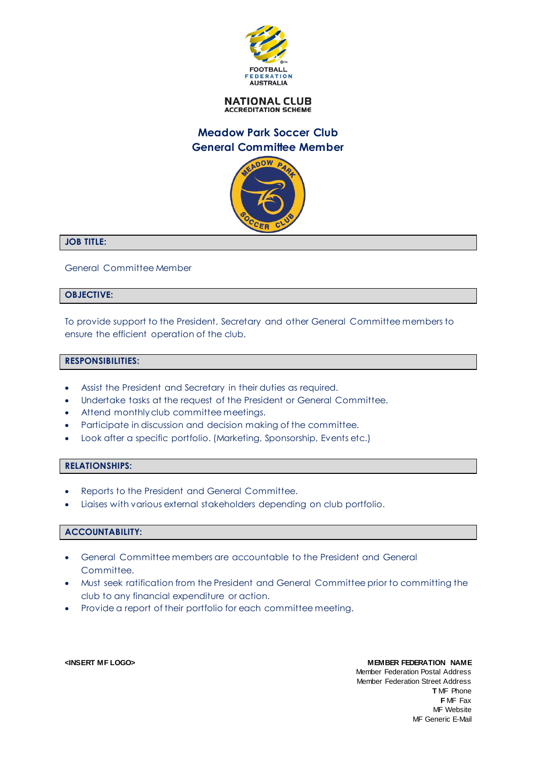

**NATIONAL CLUB ACCREDITATION SCHEME** 

# **Meadow Park Soccer Club General Committee Member**



#### **JOB TITLE:**

General Committee Member

### **OBJECTIVE:**

To provide support to the President, Secretary and other General Committee members to ensure the efficient operation of the club.

#### **RESPONSIBILITIES:**

- Assist the President and Secretary in their duties as required.
- Undertake tasks at the request of the President or General Committee.
- Attend monthly club committee meetings.
- Participate in discussion and decision making of the committee.
- Look after a specific portfolio. (Marketing, Sponsorship, Events etc.)

#### **RELATIONSHIPS:**

- Reports to the President and General Committee.
- Liaises with various external stakeholders depending on club portfolio.

#### **ACCOUNTABILITY:**

- General Committee members are accountable to the President and General Committee.
- Must seek ratification from the President and General Committee prior to committing the club to any financial expenditure or action.
- Provide a report of their portfolio for each committee meeting.

**<INSERT MF LOGO> MEMBER FEDERATION NAME** Member Federation Postal Address Member Federation Street Address **T** MF Phone **F** MF Fax MF Website MF Generic E-Mail